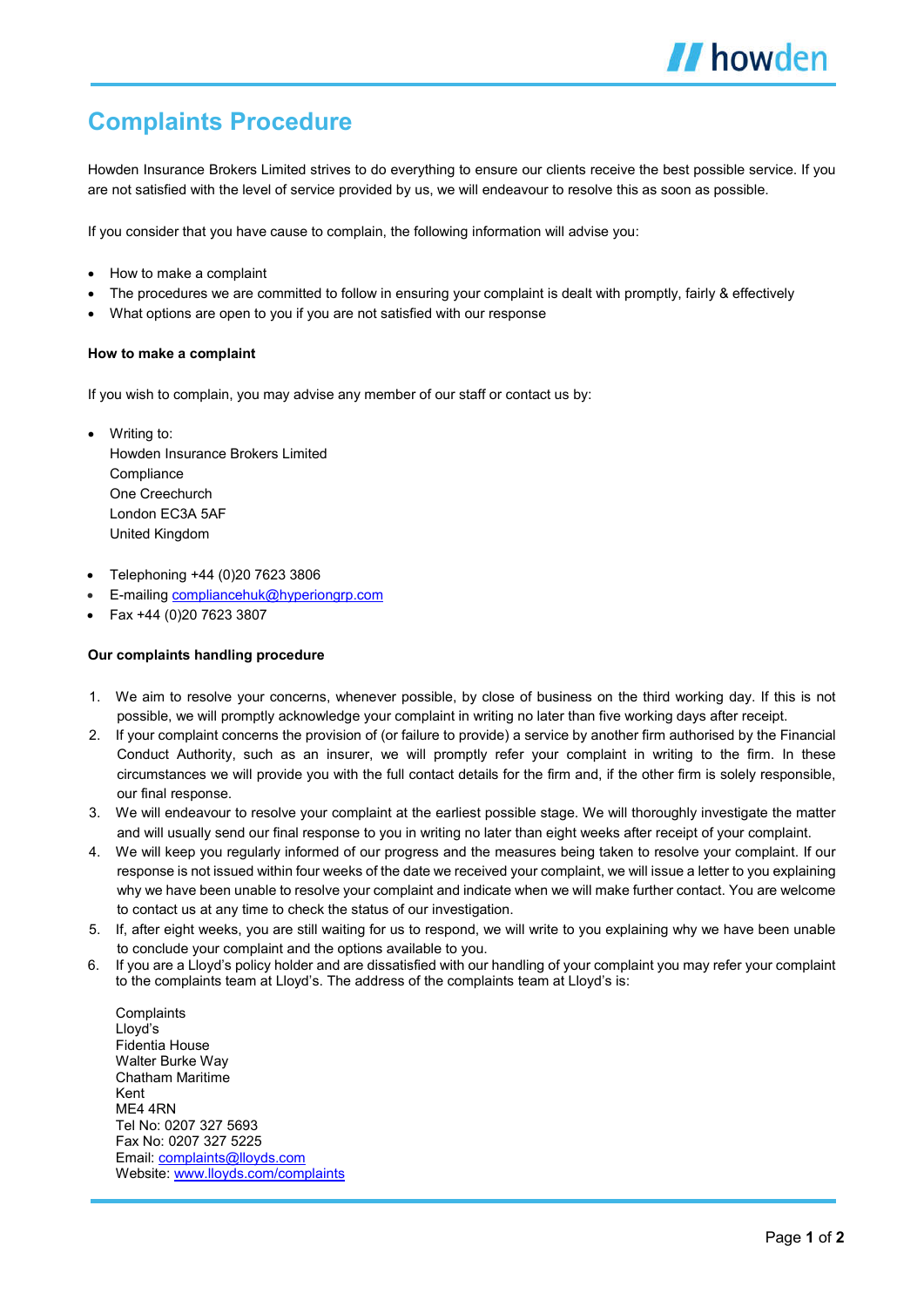## **Complaints Procedure**

Howden Insurance Brokers Limited strives to do everything to ensure our clients receive the best possible service. If you are not satisfied with the level of service provided by us, we will endeavour to resolve this as soon as possible.

If you consider that you have cause to complain, the following information will advise you:

- How to make a complaint
- The procedures we are committed to follow in ensuring your complaint is dealt with promptly, fairly & effectively
- What options are open to you if you are not satisfied with our response

## **How to make a complaint**

If you wish to complain, you may advise any member of our staff or contact us by:

- Writing to: Howden Insurance Brokers Limited **Compliance** One Creechurch London EC3A 5AF United Kingdom
- Telephoning +44 (0)20 7623 3806
- E-mailing compliancehuk@hyperiongrp.com
- Fax +44 (0)20 7623 3807

## **Our complaints handling procedure**

- 1. We aim to resolve your concerns, whenever possible, by close of business on the third working day. If this is not possible, we will promptly acknowledge your complaint in writing no later than five working days after receipt.
- 2. If your complaint concerns the provision of (or failure to provide) a service by another firm authorised by the Financial Conduct Authority, such as an insurer, we will promptly refer your complaint in writing to the firm. In these circumstances we will provide you with the full contact details for the firm and, if the other firm is solely responsible, our final response.
- 3. We will endeavour to resolve your complaint at the earliest possible stage. We will thoroughly investigate the matter and will usually send our final response to you in writing no later than eight weeks after receipt of your complaint.
- 4. We will keep you regularly informed of our progress and the measures being taken to resolve your complaint. If our response is not issued within four weeks of the date we received your complaint, we will issue a letter to you explaining why we have been unable to resolve your complaint and indicate when we will make further contact. You are welcome to contact us at any time to check the status of our investigation.
- 5. If, after eight weeks, you are still waiting for us to respond, we will write to you explaining why we have been unable to conclude your complaint and the options available to you.
- 6. If you are a Lloyd's policy holder and are dissatisfied with our handling of your complaint you may refer your complaint to the complaints team at Lloyd's. The address of the complaints team at Lloyd's is:

**Complaints** Lloyd's Fidentia House Walter Burke Way Chatham Maritime Kent ME4 4RN Tel No: 0207 327 5693 Fax No: 0207 327 5225 Email: complaints@lloyds.com Website: www.lloyds.com/complaints